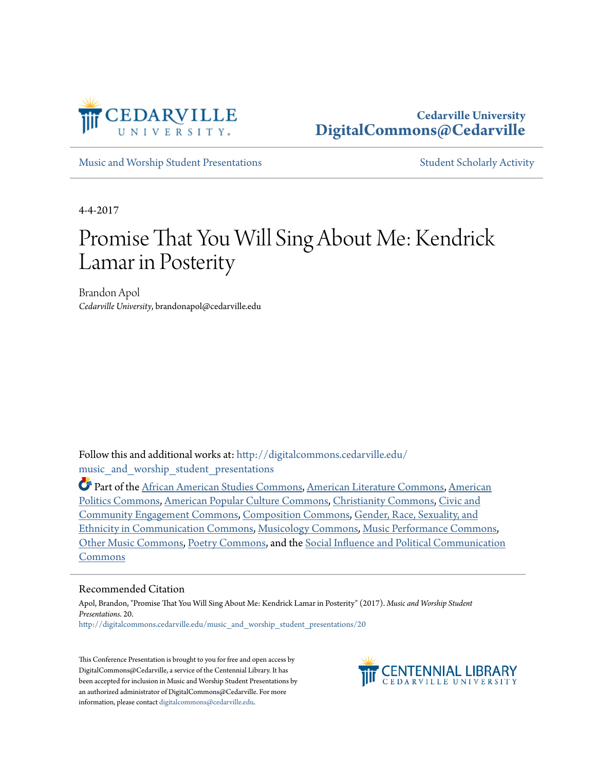

## **Cedarville University [DigitalCommons@Cedarville](http://digitalcommons.cedarville.edu?utm_source=digitalcommons.cedarville.edu%2Fmusic_and_worship_student_presentations%2F20&utm_medium=PDF&utm_campaign=PDFCoverPages)**

[Music and Worship Student Presentations](http://digitalcommons.cedarville.edu/music_and_worship_student_presentations?utm_source=digitalcommons.cedarville.edu%2Fmusic_and_worship_student_presentations%2F20&utm_medium=PDF&utm_campaign=PDFCoverPages) [Student Scholarly Activity](http://digitalcommons.cedarville.edu/music_student_scholarly_activity?utm_source=digitalcommons.cedarville.edu%2Fmusic_and_worship_student_presentations%2F20&utm_medium=PDF&utm_campaign=PDFCoverPages)

4-4-2017

# Promise That You Will Sing About Me: Kendrick Lamar in Posterity

Brandon Apol *Cedarville University*, brandonapol@cedarville.edu

Follow this and additional works at: [http://digitalcommons.cedarville.edu/](http://digitalcommons.cedarville.edu/music_and_worship_student_presentations?utm_source=digitalcommons.cedarville.edu%2Fmusic_and_worship_student_presentations%2F20&utm_medium=PDF&utm_campaign=PDFCoverPages) music and worship student presentations

Part of the [African American Studies Commons,](http://network.bepress.com/hgg/discipline/567?utm_source=digitalcommons.cedarville.edu%2Fmusic_and_worship_student_presentations%2F20&utm_medium=PDF&utm_campaign=PDFCoverPages) [American Literature Commons](http://network.bepress.com/hgg/discipline/441?utm_source=digitalcommons.cedarville.edu%2Fmusic_and_worship_student_presentations%2F20&utm_medium=PDF&utm_campaign=PDFCoverPages), [American](http://network.bepress.com/hgg/discipline/387?utm_source=digitalcommons.cedarville.edu%2Fmusic_and_worship_student_presentations%2F20&utm_medium=PDF&utm_campaign=PDFCoverPages) [Politics Commons](http://network.bepress.com/hgg/discipline/387?utm_source=digitalcommons.cedarville.edu%2Fmusic_and_worship_student_presentations%2F20&utm_medium=PDF&utm_campaign=PDFCoverPages), [American Popular Culture Commons](http://network.bepress.com/hgg/discipline/443?utm_source=digitalcommons.cedarville.edu%2Fmusic_and_worship_student_presentations%2F20&utm_medium=PDF&utm_campaign=PDFCoverPages), [Christianity Commons](http://network.bepress.com/hgg/discipline/1181?utm_source=digitalcommons.cedarville.edu%2Fmusic_and_worship_student_presentations%2F20&utm_medium=PDF&utm_campaign=PDFCoverPages), [Civic and](http://network.bepress.com/hgg/discipline/1028?utm_source=digitalcommons.cedarville.edu%2Fmusic_and_worship_student_presentations%2F20&utm_medium=PDF&utm_campaign=PDFCoverPages) [Community Engagement Commons,](http://network.bepress.com/hgg/discipline/1028?utm_source=digitalcommons.cedarville.edu%2Fmusic_and_worship_student_presentations%2F20&utm_medium=PDF&utm_campaign=PDFCoverPages) [Composition Commons](http://network.bepress.com/hgg/discipline/519?utm_source=digitalcommons.cedarville.edu%2Fmusic_and_worship_student_presentations%2F20&utm_medium=PDF&utm_campaign=PDFCoverPages), [Gender, Race, Sexuality, and](http://network.bepress.com/hgg/discipline/329?utm_source=digitalcommons.cedarville.edu%2Fmusic_and_worship_student_presentations%2F20&utm_medium=PDF&utm_campaign=PDFCoverPages) [Ethnicity in Communication Commons](http://network.bepress.com/hgg/discipline/329?utm_source=digitalcommons.cedarville.edu%2Fmusic_and_worship_student_presentations%2F20&utm_medium=PDF&utm_campaign=PDFCoverPages), [Musicology Commons,](http://network.bepress.com/hgg/discipline/521?utm_source=digitalcommons.cedarville.edu%2Fmusic_and_worship_student_presentations%2F20&utm_medium=PDF&utm_campaign=PDFCoverPages) [Music Performance Commons](http://network.bepress.com/hgg/discipline/1128?utm_source=digitalcommons.cedarville.edu%2Fmusic_and_worship_student_presentations%2F20&utm_medium=PDF&utm_campaign=PDFCoverPages), [Other Music Commons](http://network.bepress.com/hgg/discipline/524?utm_source=digitalcommons.cedarville.edu%2Fmusic_and_worship_student_presentations%2F20&utm_medium=PDF&utm_campaign=PDFCoverPages), [Poetry Commons](http://network.bepress.com/hgg/discipline/1153?utm_source=digitalcommons.cedarville.edu%2Fmusic_and_worship_student_presentations%2F20&utm_medium=PDF&utm_campaign=PDFCoverPages), and the [Social Influence and Political Communication](http://network.bepress.com/hgg/discipline/337?utm_source=digitalcommons.cedarville.edu%2Fmusic_and_worship_student_presentations%2F20&utm_medium=PDF&utm_campaign=PDFCoverPages) [Commons](http://network.bepress.com/hgg/discipline/337?utm_source=digitalcommons.cedarville.edu%2Fmusic_and_worship_student_presentations%2F20&utm_medium=PDF&utm_campaign=PDFCoverPages)

#### Recommended Citation

Apol, Brandon, "Promise That You Will Sing About Me: Kendrick Lamar in Posterity" (2017). *Music and Worship Student Presentations*. 20. [http://digitalcommons.cedarville.edu/music\\_and\\_worship\\_student\\_presentations/20](http://digitalcommons.cedarville.edu/music_and_worship_student_presentations/20?utm_source=digitalcommons.cedarville.edu%2Fmusic_and_worship_student_presentations%2F20&utm_medium=PDF&utm_campaign=PDFCoverPages)

This Conference Presentation is brought to you for free and open access by DigitalCommons@Cedarville, a service of the Centennial Library. It has been accepted for inclusion in Music and Worship Student Presentations by an authorized administrator of DigitalCommons@Cedarville. For more information, please contact [digitalcommons@cedarville.edu.](mailto:digitalcommons@cedarville.edu)

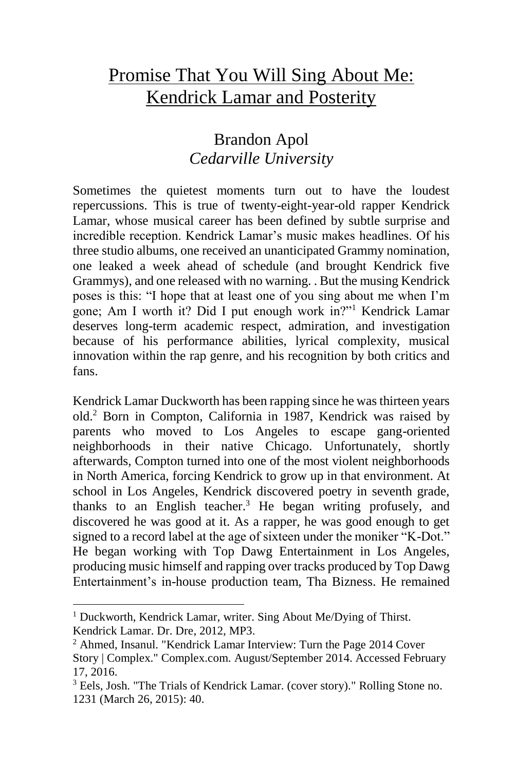# Promise That You Will Sing About Me: Kendrick Lamar and Posterity

### Brandon Apol *Cedarville University*

Sometimes the quietest moments turn out to have the loudest repercussions. This is true of twenty-eight-year-old rapper Kendrick Lamar, whose musical career has been defined by subtle surprise and incredible reception. Kendrick Lamar's music makes headlines. Of his three studio albums, one received an unanticipated Grammy nomination, one leaked a week ahead of schedule (and brought Kendrick five Grammys), and one released with no warning. . But the musing Kendrick poses is this: "I hope that at least one of you sing about me when I'm gone; Am I worth it? Did I put enough work in?"<sup>1</sup> Kendrick Lamar deserves long-term academic respect, admiration, and investigation because of his performance abilities, lyrical complexity, musical innovation within the rap genre, and his recognition by both critics and fans.

Kendrick Lamar Duckworth has been rapping since he was thirteen years old.<sup>2</sup> Born in Compton, California in 1987, Kendrick was raised by parents who moved to Los Angeles to escape gang-oriented neighborhoods in their native Chicago. Unfortunately, shortly afterwards, Compton turned into one of the most violent neighborhoods in North America, forcing Kendrick to grow up in that environment. At school in Los Angeles, Kendrick discovered poetry in seventh grade, thanks to an English teacher.<sup>3</sup> He began writing profusely, and discovered he was good at it. As a rapper, he was good enough to get signed to a record label at the age of sixteen under the moniker "K-Dot." He began working with Top Dawg Entertainment in Los Angeles, producing music himself and rapping over tracks produced by Top Dawg Entertainment's in-house production team, Tha Bizness. He remained

<sup>&</sup>lt;sup>1</sup> Duckworth, Kendrick Lamar, writer. Sing About Me/Dying of Thirst. Kendrick Lamar. Dr. Dre, 2012, MP3.

<sup>2</sup> Ahmed, Insanul. "Kendrick Lamar Interview: Turn the Page 2014 Cover Story | Complex." Complex.com. August/September 2014. Accessed February 17, 2016.

<sup>3</sup> Eels, Josh. "The Trials of Kendrick Lamar. (cover story)." Rolling Stone no. 1231 (March 26, 2015): 40.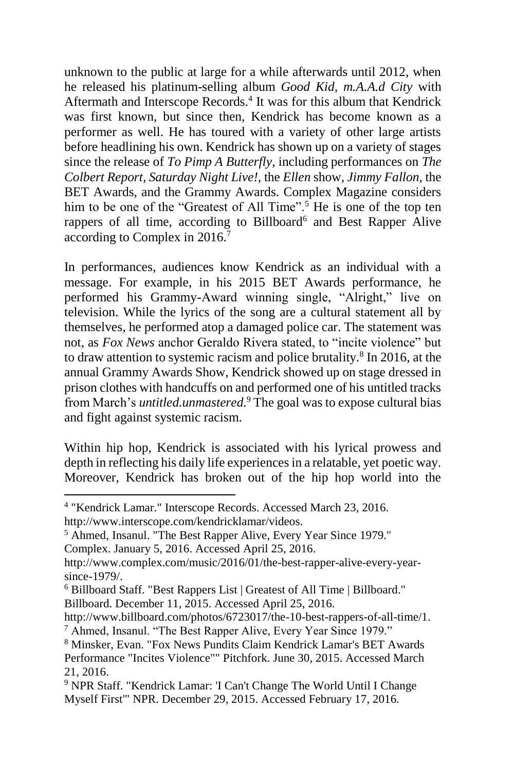unknown to the public at large for a while afterwards until 2012, when he released his platinum-selling album *Good Kid, m.A.A.d City* with Aftermath and Interscope Records.<sup>4</sup> It was for this album that Kendrick was first known, but since then, Kendrick has become known as a performer as well. He has toured with a variety of other large artists before headlining his own. Kendrick has shown up on a variety of stages since the release of *To Pimp A Butterfly*, including performances on *The Colbert Report, Saturday Night Live!,* the *Ellen* show*, Jimmy Fallon,* the BET Awards, and the Grammy Awards. Complex Magazine considers him to be one of the "Greatest of All Time".<sup>5</sup> He is one of the top ten rappers of all time, according to Billboard<sup>6</sup> and Best Rapper Alive according to Complex in 2016.<sup>7</sup>

In performances, audiences know Kendrick as an individual with a message. For example, in his 2015 BET Awards performance, he performed his Grammy-Award winning single, "Alright," live on television. While the lyrics of the song are a cultural statement all by themselves, he performed atop a damaged police car. The statement was not, as *Fox News* anchor Geraldo Rivera stated, to "incite violence" but to draw attention to systemic racism and police brutality.<sup>8</sup> In 2016, at the annual Grammy Awards Show, Kendrick showed up on stage dressed in prison clothes with handcuffs on and performed one of his untitled tracks from March's *untitled.unmastered.*<sup>9</sup> The goal was to expose cultural bias and fight against systemic racism.

Within hip hop, Kendrick is associated with his lyrical prowess and depth in reflecting his daily life experiences in a relatable, yet poetic way. Moreover, Kendrick has broken out of the hip hop world into the

 $\overline{a}$ 

<sup>6</sup> Billboard Staff. "Best Rappers List | Greatest of All Time | Billboard." Billboard. December 11, 2015. Accessed April 25, 2016.

<sup>4</sup> "Kendrick Lamar." Interscope Records. Accessed March 23, 2016. http://www.interscope.com/kendricklamar/videos.

<sup>5</sup> Ahmed, Insanul. "The Best Rapper Alive, Every Year Since 1979."

Complex. January 5, 2016. Accessed April 25, 2016.

http://www.complex.com/music/2016/01/the-best-rapper-alive-every-yearsince-1979/.

http://www.billboard.com/photos/6723017/the-10-best-rappers-of-all-time/1. <sup>7</sup> Ahmed, Insanul. "The Best Rapper Alive, Every Year Since 1979."

<sup>8</sup> Minsker, Evan. "Fox News Pundits Claim Kendrick Lamar's BET Awards Performance "Incites Violence"" Pitchfork. June 30, 2015. Accessed March 21, 2016.

<sup>9</sup> NPR Staff. "Kendrick Lamar: 'I Can't Change The World Until I Change Myself First'" NPR. December 29, 2015. Accessed February 17, 2016.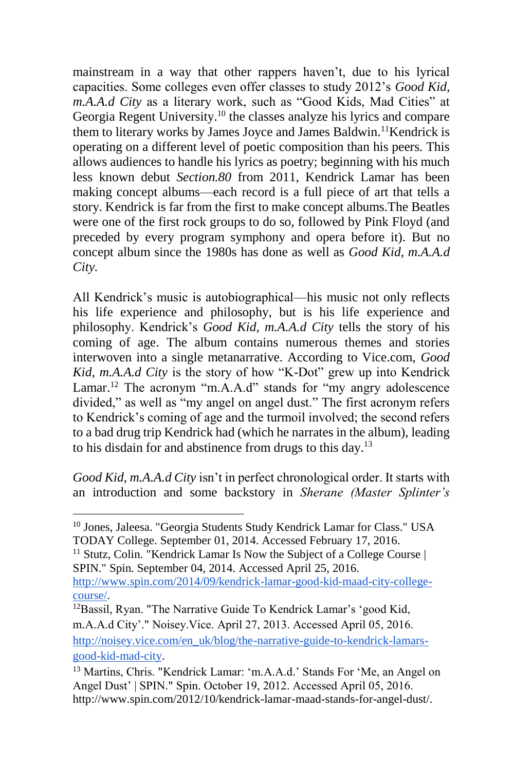mainstream in a way that other rappers haven't, due to his lyrical capacities. Some colleges even offer classes to study 2012's *Good Kid, m.A.A.d City* as a literary work, such as "Good Kids, Mad Cities" at Georgia Regent University.<sup>10</sup> the classes analyze his lyrics and compare them to literary works by James Joyce and James Baldwin.<sup>11</sup>Kendrick is operating on a different level of poetic composition than his peers. This allows audiences to handle his lyrics as poetry; beginning with his much less known debut *Section.80* from 2011, Kendrick Lamar has been making concept albums—each record is a full piece of art that tells a story. Kendrick is far from the first to make concept albums.The Beatles were one of the first rock groups to do so, followed by Pink Floyd (and preceded by every program symphony and opera before it). But no concept album since the 1980s has done as well as *Good Kid, m.A.A.d City.* 

All Kendrick's music is autobiographical—his music not only reflects his life experience and philosophy, but is his life experience and philosophy. Kendrick's *Good Kid, m.A.A.d City* tells the story of his coming of age. The album contains numerous themes and stories interwoven into a single metanarrative. According to Vice.com, *Good Kid, m.A.A.d City* is the story of how "K-Dot" grew up into Kendrick Lamar.<sup>12</sup> The acronym "m.A.A.d" stands for "my angry adolescence divided," as well as "my angel on angel dust." The first acronym refers to Kendrick's coming of age and the turmoil involved; the second refers to a bad drug trip Kendrick had (which he narrates in the album), leading to his disdain for and abstinence from drugs to this day.<sup>13</sup>

*Good Kid, m.A.A.d City* isn't in perfect chronological order. It starts with an introduction and some backstory in *Sherane (Master Splinter's* 

 $11$  Stutz, Colin. "Kendrick Lamar Is Now the Subject of a College Course  $\vert$ SPIN." Spin. September 04, 2014. Accessed April 25, 2016. [http://www.spin.com/2014/09/kendrick-lamar-good-kid-maad-city-college-](http://www.spin.com/2014/09/kendrick-lamar-good-kid-maad-city-college-course/)

[course/.](http://www.spin.com/2014/09/kendrick-lamar-good-kid-maad-city-college-course/)

<sup>10</sup> Jones, Jaleesa. "Georgia Students Study Kendrick Lamar for Class." USA TODAY College. September 01, 2014. Accessed February 17, 2016.

<sup>&</sup>lt;sup>12</sup>Bassil, Ryan. "The Narrative Guide To Kendrick Lamar's 'good Kid, m.A.A.d City'." Noisey.Vice. April 27, 2013. Accessed April 05, 2016. [http://noisey.vice.com/en\\_uk/blog/the-narrative-guide-to-kendrick-lamars](http://noisey.vice.com/en_uk/blog/the-narrative-guide-to-kendrick-lamars-good-kid-mad-city)[good-kid-mad-city.](http://noisey.vice.com/en_uk/blog/the-narrative-guide-to-kendrick-lamars-good-kid-mad-city)

<sup>13</sup> Martins, Chris. "Kendrick Lamar: 'm.A.A.d.' Stands For 'Me, an Angel on Angel Dust' | SPIN." Spin. October 19, 2012. Accessed April 05, 2016. http://www.spin.com/2012/10/kendrick-lamar-maad-stands-for-angel-dust/.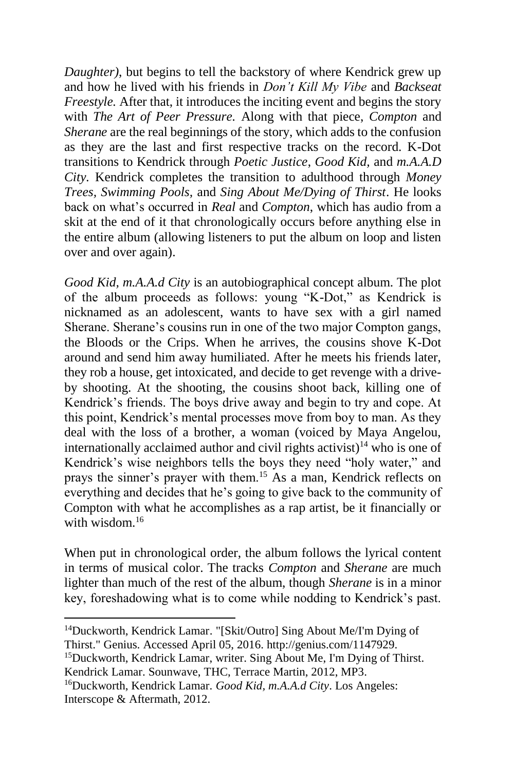*Daughter)*, but begins to tell the backstory of where Kendrick grew up and how he lived with his friends in *Don't Kill My Vibe* and *Backseat Freestyle.* After that, it introduces the inciting event and begins the story with *The Art of Peer Pressure.* Along with that piece, *Compton* and *Sherane* are the real beginnings of the story, which adds to the confusion as they are the last and first respective tracks on the record. K-Dot transitions to Kendrick through *Poetic Justice*, *Good Kid,* and *m.A.A.D City.* Kendrick completes the transition to adulthood through *Money Trees, Swimming Pools,* and *Sing About Me/Dying of Thirst*. He looks back on what's occurred in *Real* and *Compton*, which has audio from a skit at the end of it that chronologically occurs before anything else in the entire album (allowing listeners to put the album on loop and listen over and over again).

*Good Kid, m.A.A.d City* is an autobiographical concept album. The plot of the album proceeds as follows: young "K-Dot," as Kendrick is nicknamed as an adolescent, wants to have sex with a girl named Sherane. Sherane's cousins run in one of the two major Compton gangs, the Bloods or the Crips. When he arrives, the cousins shove K-Dot around and send him away humiliated. After he meets his friends later, they rob a house, get intoxicated, and decide to get revenge with a driveby shooting. At the shooting, the cousins shoot back, killing one of Kendrick's friends. The boys drive away and begin to try and cope. At this point, Kendrick's mental processes move from boy to man. As they deal with the loss of a brother, a woman (voiced by Maya Angelou, internationally acclaimed author and civil rights activist) $14$  who is one of Kendrick's wise neighbors tells the boys they need "holy water," and prays the sinner's prayer with them.<sup>15</sup> As a man, Kendrick reflects on everything and decides that he's going to give back to the community of Compton with what he accomplishes as a rap artist, be it financially or with wisdom  $16$ 

When put in chronological order, the album follows the lyrical content in terms of musical color. The tracks *Compton* and *Sherane* are much lighter than much of the rest of the album, though *Sherane* is in a minor key, foreshadowing what is to come while nodding to Kendrick's past.

<sup>15</sup>Duckworth, Kendrick Lamar, writer. Sing About Me, I'm Dying of Thirst. Kendrick Lamar. Sounwave, THC, Terrace Martin, 2012, MP3.

<sup>14</sup>Duckworth, Kendrick Lamar. "[Skit/Outro] Sing About Me/I'm Dying of Thirst." Genius. Accessed April 05, 2016. http://genius.com/1147929.

<sup>16</sup>Duckworth, Kendrick Lamar. *Good Kid, m.A.A.d City*. Los Angeles: Interscope & Aftermath, 2012.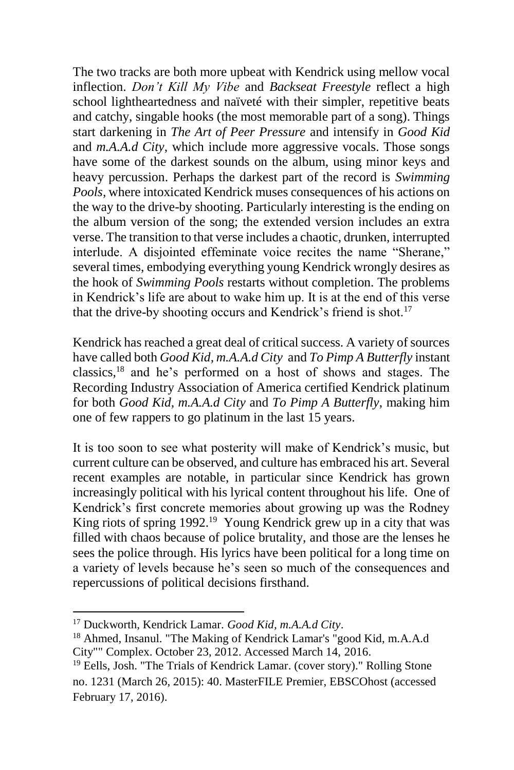The two tracks are both more upbeat with Kendrick using mellow vocal inflection. *Don't Kill My Vibe* and *Backseat Freestyle* reflect a high school lightheartedness and naïveté with their simpler, repetitive beats and catchy, singable hooks (the most memorable part of a song). Things start darkening in *The Art of Peer Pressure* and intensify in *Good Kid* and *m.A.A.d City*, which include more aggressive vocals. Those songs have some of the darkest sounds on the album, using minor keys and heavy percussion. Perhaps the darkest part of the record is *Swimming Pools*, where intoxicated Kendrick muses consequences of his actions on the way to the drive-by shooting. Particularly interesting is the ending on the album version of the song; the extended version includes an extra verse. The transition to that verse includes a chaotic, drunken, interrupted interlude. A disjointed effeminate voice recites the name "Sherane," several times, embodying everything young Kendrick wrongly desires as the hook of *Swimming Pools* restarts without completion. The problems in Kendrick's life are about to wake him up. It is at the end of this verse that the drive-by shooting occurs and Kendrick's friend is shot.<sup>17</sup>

Kendrick has reached a great deal of critical success. A variety of sources have called both *Good Kid, m.A.A.d City* and *To Pimp A Butterfly* instant classics,<sup>18</sup> and he's performed on a host of shows and stages. The Recording Industry Association of America certified Kendrick platinum for both *Good Kid, m.A.A.d City* and *To Pimp A Butterfly*, making him one of few rappers to go platinum in the last 15 years.

It is too soon to see what posterity will make of Kendrick's music, but current culture can be observed, and culture has embraced his art. Several recent examples are notable, in particular since Kendrick has grown increasingly political with his lyrical content throughout his life. One of Kendrick's first concrete memories about growing up was the Rodney King riots of spring 1992.<sup>19</sup> Young Kendrick grew up in a city that was filled with chaos because of police brutality, and those are the lenses he sees the police through. His lyrics have been political for a long time on a variety of levels because he's seen so much of the consequences and repercussions of political decisions firsthand.

<sup>17</sup> Duckworth, Kendrick Lamar. *Good Kid, m.A.A.d City*.

<sup>18</sup> Ahmed, Insanul. "The Making of Kendrick Lamar's "good Kid, m.A.A.d City"" Complex. October 23, 2012. Accessed March 14, 2016.

<sup>&</sup>lt;sup>19</sup> Eells, Josh. "The Trials of Kendrick Lamar. (cover story)." Rolling Stone no. 1231 (March 26, 2015): 40. MasterFILE Premier, EBSCOhost (accessed February 17, 2016).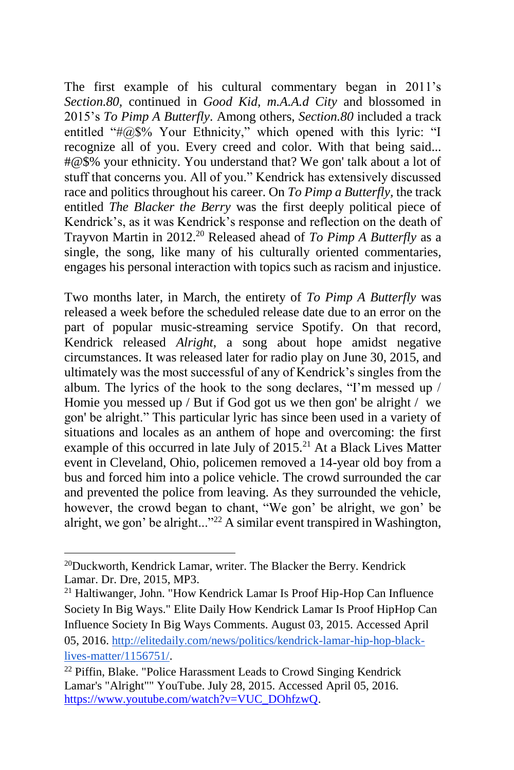The first example of his cultural commentary began in 2011's *Section.80,* continued in *Good Kid, m.A.A.d City* and blossomed in 2015's *To Pimp A Butterfly*. Among others, *Section.80* included a track entitled "#@\$% Your Ethnicity," which opened with this lyric: "I recognize all of you. Every creed and color. With that being said... #@\$% your ethnicity. You understand that? We gon' talk about a lot of stuff that concerns you. All of you." Kendrick has extensively discussed race and politics throughout his career. On *To Pimp a Butterfly,* the track entitled *The Blacker the Berry* was the first deeply political piece of Kendrick's, as it was Kendrick's response and reflection on the death of Trayvon Martin in 2012.<sup>20</sup> Released ahead of *To Pimp A Butterfly* as a single, the song, like many of his culturally oriented commentaries, engages his personal interaction with topics such as racism and injustice.

Two months later, in March, the entirety of *To Pimp A Butterfly* was released a week before the scheduled release date due to an error on the part of popular music-streaming service Spotify. On that record, Kendrick released *Alright*, a song about hope amidst negative circumstances. It was released later for radio play on June 30, 2015, and ultimately was the most successful of any of Kendrick's singles from the album. The lyrics of the hook to the song declares, "I'm messed up / Homie you messed up / But if God got us we then gon' be alright / we gon' be alright." This particular lyric has since been used in a variety of situations and locales as an anthem of hope and overcoming: the first example of this occurred in late July of  $2015<sup>21</sup>$  At a Black Lives Matter event in Cleveland, Ohio, policemen removed a 14-year old boy from a bus and forced him into a police vehicle. The crowd surrounded the car and prevented the police from leaving. As they surrounded the vehicle, however, the crowd began to chant, "We gon' be alright, we gon' be alright, we gon' be alright..."<sup>22</sup> A similar event transpired in Washington,

 $20$ Duckworth, Kendrick Lamar, writer. The Blacker the Berry. Kendrick Lamar. Dr. Dre, 2015, MP3.

<sup>21</sup> Haltiwanger, John. "How Kendrick Lamar Is Proof Hip-Hop Can Influence Society In Big Ways." Elite Daily How Kendrick Lamar Is Proof HipHop Can Influence Society In Big Ways Comments. August 03, 2015. Accessed April 05, 2016. [http://elitedaily.com/news/politics/kendrick-lamar-hip-hop-black](http://elitedaily.com/news/politics/kendrick-lamar-hip-hop-black-lives-matter/1156751/)[lives-matter/1156751/.](http://elitedaily.com/news/politics/kendrick-lamar-hip-hop-black-lives-matter/1156751/)

<sup>&</sup>lt;sup>22</sup> Piffin, Blake. "Police Harassment Leads to Crowd Singing Kendrick Lamar's "Alright"" YouTube. July 28, 2015. Accessed April 05, 2016. [https://www.youtube.com/watch?v=VUC\\_DOhfzwQ.](https://www.youtube.com/watch?v=VUC_DOhfzwQ)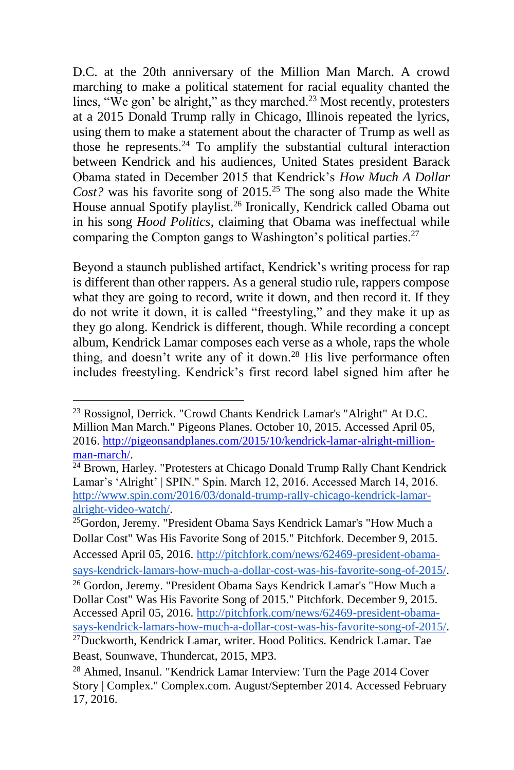D.C. at the 20th anniversary of the Million Man March. A crowd marching to make a political statement for racial equality chanted the lines, "We gon' be alright," as they marched.<sup>23</sup> Most recently, protesters at a 2015 Donald Trump rally in Chicago, Illinois repeated the lyrics, using them to make a statement about the character of Trump as well as those he represents.<sup>24</sup> To amplify the substantial cultural interaction between Kendrick and his audiences, United States president Barack Obama stated in December 2015 that Kendrick's *How Much A Dollar*  Cost? was his favorite song of 2015.<sup>25</sup> The song also made the White House annual Spotify playlist.<sup>26</sup> Ironically, Kendrick called Obama out in his song *Hood Politics*, claiming that Obama was ineffectual while comparing the Compton gangs to Washington's political parties.<sup>27</sup>

Beyond a staunch published artifact, Kendrick's writing process for rap is different than other rappers. As a general studio rule, rappers compose what they are going to record, write it down, and then record it. If they do not write it down, it is called "freestyling," and they make it up as they go along. Kendrick is different, though. While recording a concept album, Kendrick Lamar composes each verse as a whole, raps the whole thing, and doesn't write any of it down.<sup>28</sup> His live performance often includes freestyling. Kendrick's first record label signed him after he

<sup>23</sup> Rossignol, Derrick. "Crowd Chants Kendrick Lamar's "Alright" At D.C. Million Man March." Pigeons Planes. October 10, 2015. Accessed April 05, 2016. [http://pigeonsandplanes.com/2015/10/kendrick-lamar-alright-million](http://pigeonsandplanes.com/2015/10/kendrick-lamar-alright-million-man-march/)[man-march/.](http://pigeonsandplanes.com/2015/10/kendrick-lamar-alright-million-man-march/) 

<sup>&</sup>lt;sup>24</sup> Brown, Harley. "Protesters at Chicago Donald Trump Rally Chant Kendrick Lamar's 'Alright' | SPIN." Spin. March 12, 2016. Accessed March 14, 2016. [http://www.spin.com/2016/03/donald-trump-rally-chicago-kendrick-lamar](http://www.spin.com/2016/03/donald-trump-rally-chicago-kendrick-lamar-alright-video-watch/)[alright-video-watch/.](http://www.spin.com/2016/03/donald-trump-rally-chicago-kendrick-lamar-alright-video-watch/)

<sup>&</sup>lt;sup>25</sup>Gordon, Jeremy. "President Obama Says Kendrick Lamar's "How Much a Dollar Cost" Was His Favorite Song of 2015." Pitchfork. December 9, 2015. Accessed April 05, 2016. [http://pitchfork.com/news/62469-president-obama](http://pitchfork.com/news/62469-president-obama-says-kendrick-lamars-how-much-a-dollar-cost-was-his-favorite-song-of-2015/)[says-kendrick-lamars-how-much-a-dollar-cost-was-his-favorite-song-of-2015/.](http://pitchfork.com/news/62469-president-obama-says-kendrick-lamars-how-much-a-dollar-cost-was-his-favorite-song-of-2015/)

<sup>26</sup> Gordon, Jeremy. "President Obama Says Kendrick Lamar's "How Much a Dollar Cost" Was His Favorite Song of 2015." Pitchfork. December 9, 2015. Accessed April 05, 2016. [http://pitchfork.com/news/62469-president-obama](http://pitchfork.com/news/62469-president-obama-says-kendrick-lamars-how-much-a-dollar-cost-was-his-favorite-song-of-2015/)[says-kendrick-lamars-how-much-a-dollar-cost-was-his-favorite-song-of-2015/.](http://pitchfork.com/news/62469-president-obama-says-kendrick-lamars-how-much-a-dollar-cost-was-his-favorite-song-of-2015/) <sup>27</sup>Duckworth, Kendrick Lamar, writer. Hood Politics. Kendrick Lamar. Tae

Beast, Sounwave, Thundercat, 2015, MP3.

<sup>28</sup> Ahmed, Insanul. "Kendrick Lamar Interview: Turn the Page 2014 Cover Story | Complex." Complex.com. August/September 2014. Accessed February 17, 2016.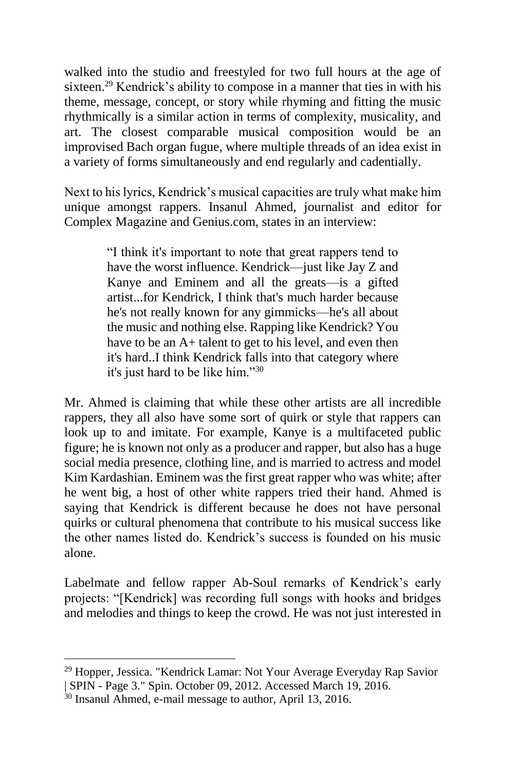walked into the studio and freestyled for two full hours at the age of sixteen.<sup>29</sup> Kendrick's ability to compose in a manner that ties in with his theme, message, concept, or story while rhyming and fitting the music rhythmically is a similar action in terms of complexity, musicality, and art. The closest comparable musical composition would be an improvised Bach organ fugue, where multiple threads of an idea exist in a variety of forms simultaneously and end regularly and cadentially.

Next to his lyrics, Kendrick's musical capacities are truly what make him unique amongst rappers. Insanul Ahmed, journalist and editor for Complex Magazine and Genius.com, states in an interview:

> "I think it's important to note that great rappers tend to have the worst influence. Kendrick—just like Jay Z and Kanye and Eminem and all the greats—is a gifted artist...for Kendrick, I think that's much harder because he's not really known for any gimmicks—he's all about the music and nothing else. Rapping like Kendrick? You have to be an A+ talent to get to his level, and even then it's hard..I think Kendrick falls into that category where it's just hard to be like him."<sup>30</sup>

Mr. Ahmed is claiming that while these other artists are all incredible rappers, they all also have some sort of quirk or style that rappers can look up to and imitate. For example, Kanye is a multifaceted public figure; he is known not only as a producer and rapper, but also has a huge social media presence, clothing line, and is married to actress and model Kim Kardashian. Eminem was the first great rapper who was white; after he went big, a host of other white rappers tried their hand. Ahmed is saying that Kendrick is different because he does not have personal quirks or cultural phenomena that contribute to his musical success like the other names listed do. Kendrick's success is founded on his music alone.

Labelmate and fellow rapper Ab-Soul remarks of Kendrick's early projects: "[Kendrick] was recording full songs with hooks and bridges and melodies and things to keep the crowd. He was not just interested in

<sup>&</sup>lt;sup>29</sup> Hopper, Jessica. "Kendrick Lamar: Not Your Average Everyday Rap Savior | SPIN - Page 3." Spin. October 09, 2012. Accessed March 19, 2016.

<sup>30</sup> Insanul Ahmed, e-mail message to author, April 13, 2016.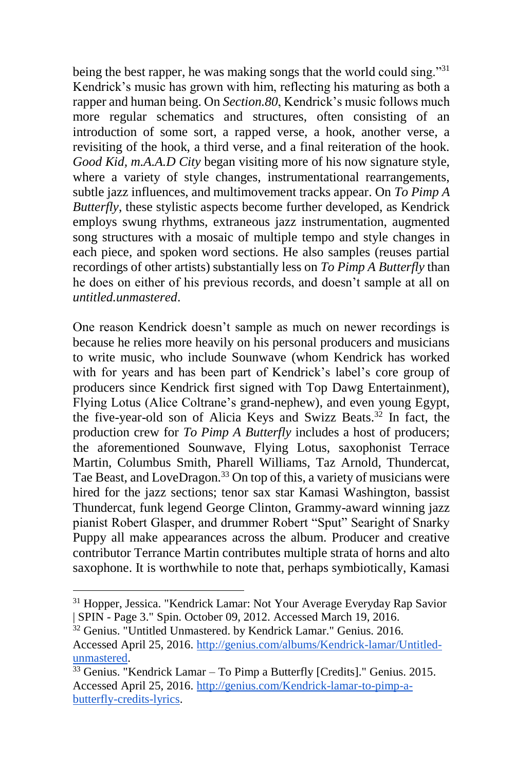being the best rapper, he was making songs that the world could sing."<sup>31</sup> Kendrick's music has grown with him, reflecting his maturing as both a rapper and human being. On *Section.80*, Kendrick's music follows much more regular schematics and structures, often consisting of an introduction of some sort, a rapped verse, a hook, another verse, a revisiting of the hook, a third verse, and a final reiteration of the hook. *Good Kid, m.A.A.D City* began visiting more of his now signature style, where a variety of style changes, instrumentational rearrangements, subtle jazz influences, and multimovement tracks appear. On *To Pimp A Butterfly*, these stylistic aspects become further developed, as Kendrick employs swung rhythms, extraneous jazz instrumentation, augmented song structures with a mosaic of multiple tempo and style changes in each piece, and spoken word sections. He also samples (reuses partial recordings of other artists) substantially less on *To Pimp A Butterfly* than he does on either of his previous records, and doesn't sample at all on *untitled.unmastered*.

One reason Kendrick doesn't sample as much on newer recordings is because he relies more heavily on his personal producers and musicians to write music, who include Sounwave (whom Kendrick has worked with for years and has been part of Kendrick's label's core group of producers since Kendrick first signed with Top Dawg Entertainment), Flying Lotus (Alice Coltrane's grand-nephew), and even young Egypt, the five-year-old son of Alicia Keys and Swizz Beats.<sup>32</sup> In fact, the production crew for *To Pimp A Butterfly* includes a host of producers; the aforementioned Sounwave, Flying Lotus, saxophonist Terrace Martin, Columbus Smith, Pharell Williams, Taz Arnold, Thundercat, Tae Beast, and LoveDragon.<sup>33</sup> On top of this, a variety of musicians were hired for the jazz sections; tenor sax star Kamasi Washington, bassist Thundercat, funk legend George Clinton, Grammy-award winning jazz pianist Robert Glasper, and drummer Robert "Sput" Searight of Snarky Puppy all make appearances across the album. Producer and creative contributor Terrance Martin contributes multiple strata of horns and alto saxophone. It is worthwhile to note that, perhaps symbiotically, Kamasi

<sup>31</sup> Hopper, Jessica. "Kendrick Lamar: Not Your Average Everyday Rap Savior | SPIN - Page 3." Spin. October 09, 2012. Accessed March 19, 2016.

<sup>32</sup> Genius. "Untitled Unmastered. by Kendrick Lamar." Genius. 2016. Accessed April 25, 2016. [http://genius.com/albums/Kendrick-lamar/Untitled](http://genius.com/albums/Kendrick-lamar/Untitled-unmastered)[unmastered.](http://genius.com/albums/Kendrick-lamar/Untitled-unmastered) 

<sup>33</sup> Genius. "Kendrick Lamar – To Pimp a Butterfly [Credits]." Genius. 2015. Accessed April 25, 2016. [http://genius.com/Kendrick-lamar-to-pimp-a](http://genius.com/Kendrick-lamar-to-pimp-a-butterfly-credits-lyrics)[butterfly-credits-lyrics.](http://genius.com/Kendrick-lamar-to-pimp-a-butterfly-credits-lyrics)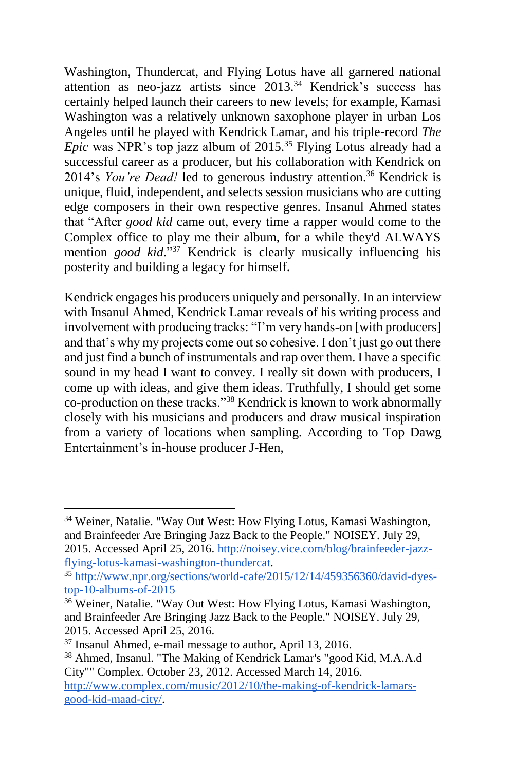Washington, Thundercat, and Flying Lotus have all garnered national attention as neo-jazz artists since 2013.<sup>34</sup> Kendrick's success has certainly helped launch their careers to new levels; for example, Kamasi Washington was a relatively unknown saxophone player in urban Los Angeles until he played with Kendrick Lamar, and his triple-record *The Epic* was NPR's top jazz album of 2015.<sup>35</sup> Flying Lotus already had a successful career as a producer, but his collaboration with Kendrick on 2014's *You're Dead!* led to generous industry attention.<sup>36</sup> Kendrick is unique, fluid, independent, and selects session musicians who are cutting edge composers in their own respective genres. Insanul Ahmed states that "After *good kid* came out, every time a rapper would come to the Complex office to play me their album, for a while they'd ALWAYS mention *good kid*."<sup>37</sup> Kendrick is clearly musically influencing his posterity and building a legacy for himself.

Kendrick engages his producers uniquely and personally. In an interview with Insanul Ahmed, Kendrick Lamar reveals of his writing process and involvement with producing tracks: "I'm very hands-on [with producers] and that's why my projects come out so cohesive. I don't just go out there and just find a bunch of instrumentals and rap over them. I have a specific sound in my head I want to convey. I really sit down with producers, I come up with ideas, and give them ideas. Truthfully, I should get some co-production on these tracks."<sup>38</sup> Kendrick is known to work abnormally closely with his musicians and producers and draw musical inspiration from a variety of locations when sampling. According to Top Dawg Entertainment's in-house producer J-Hen,

<sup>34</sup> Weiner, Natalie. "Way Out West: How Flying Lotus, Kamasi Washington, and Brainfeeder Are Bringing Jazz Back to the People." NOISEY. July 29, 2015. Accessed April 25, 2016. [http://noisey.vice.com/blog/brainfeeder-jazz](http://noisey.vice.com/blog/brainfeeder-jazz-flying-lotus-kamasi-washington-thundercat)[flying-lotus-kamasi-washington-thundercat.](http://noisey.vice.com/blog/brainfeeder-jazz-flying-lotus-kamasi-washington-thundercat) 

<sup>35</sup> [http://www.npr.org/sections/world-cafe/2015/12/14/459356360/david-dyes](http://www.npr.org/sections/world-cafe/2015/12/14/459356360/david-dyes-top-10-albums-of-2015)[top-10-albums-of-2015](http://www.npr.org/sections/world-cafe/2015/12/14/459356360/david-dyes-top-10-albums-of-2015)

<sup>&</sup>lt;sup>36</sup> Weiner, Natalie. "Way Out West: How Flying Lotus, Kamasi Washington, and Brainfeeder Are Bringing Jazz Back to the People." NOISEY. July 29, 2015. Accessed April 25, 2016.

<sup>37</sup> Insanul Ahmed, e-mail message to author, April 13, 2016.

<sup>38</sup> Ahmed, Insanul. "The Making of Kendrick Lamar's "good Kid, M.A.A.d City"" Complex. October 23, 2012. Accessed March 14, 2016.

[http://www.complex.com/music/2012/10/the-making-of-kendrick-lamars](http://www.complex.com/music/2012/10/the-making-of-kendrick-lamars-good-kid-maad-city/)[good-kid-maad-city/.](http://www.complex.com/music/2012/10/the-making-of-kendrick-lamars-good-kid-maad-city/)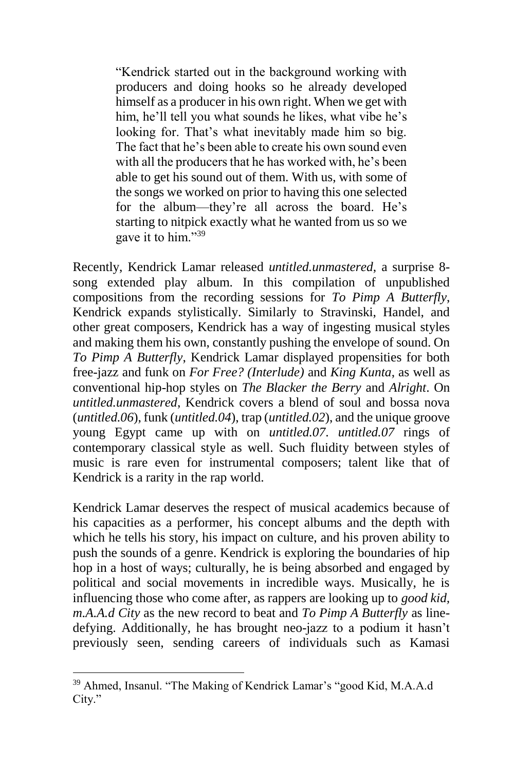"Kendrick started out in the background working with producers and doing hooks so he already developed himself as a producer in his own right. When we get with him, he'll tell you what sounds he likes, what vibe he's looking for. That's what inevitably made him so big. The fact that he's been able to create his own sound even with all the producers that he has worked with, he's been able to get his sound out of them. With us, with some of the songs we worked on prior to having this one selected for the album—they're all across the board. He's starting to nitpick exactly what he wanted from us so we gave it to him."39

Recently, Kendrick Lamar released *untitled.unmastered*, a surprise 8 song extended play album. In this compilation of unpublished compositions from the recording sessions for *To Pimp A Butterfly*, Kendrick expands stylistically. Similarly to Stravinski, Handel, and other great composers, Kendrick has a way of ingesting musical styles and making them his own, constantly pushing the envelope of sound. On *To Pimp A Butterfly*, Kendrick Lamar displayed propensities for both free-jazz and funk on *For Free? (Interlude)* and *King Kunta*, as well as conventional hip-hop styles on *The Blacker the Berry* and *Alright*. On *untitled.unmastered*, Kendrick covers a blend of soul and bossa nova (*untitled.06*), funk (*untitled.04*), trap (*untitled.02*), and the unique groove young Egypt came up with on *untitled.07*. *untitled.07* rings of contemporary classical style as well. Such fluidity between styles of music is rare even for instrumental composers; talent like that of Kendrick is a rarity in the rap world.

Kendrick Lamar deserves the respect of musical academics because of his capacities as a performer, his concept albums and the depth with which he tells his story, his impact on culture, and his proven ability to push the sounds of a genre. Kendrick is exploring the boundaries of hip hop in a host of ways; culturally, he is being absorbed and engaged by political and social movements in incredible ways. Musically, he is influencing those who come after, as rappers are looking up to *good kid, m.A.A.d City* as the new record to beat and *To Pimp A Butterfly* as linedefying. Additionally, he has brought neo-jazz to a podium it hasn't previously seen, sending careers of individuals such as Kamasi

<sup>39</sup> Ahmed, Insanul. "The Making of Kendrick Lamar's "good Kid, M.A.A.d City."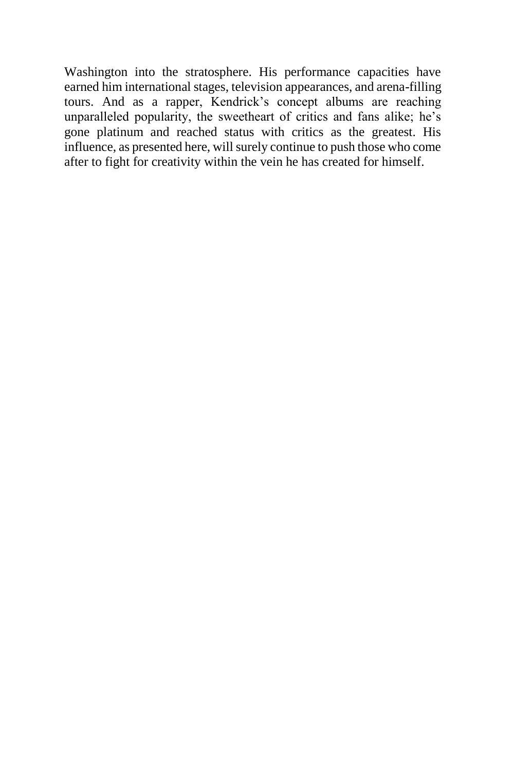Washington into the stratosphere. His performance capacities have earned him international stages, television appearances, and arena-filling tours. And as a rapper, Kendrick's concept albums are reaching unparalleled popularity, the sweetheart of critics and fans alike; he's gone platinum and reached status with critics as the greatest. His influence, as presented here, will surely continue to push those who come after to fight for creativity within the vein he has created for himself.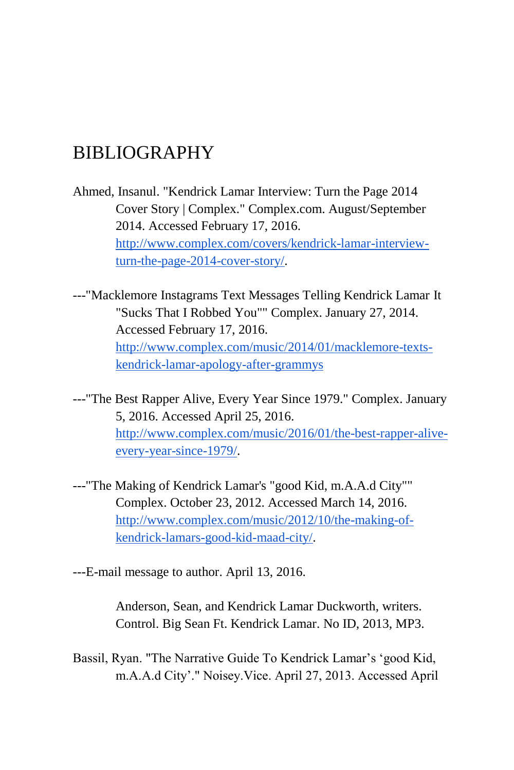# BIBLIOGRAPHY

- Ahmed, Insanul. "Kendrick Lamar Interview: Turn the Page 2014 Cover Story | Complex." Complex.com. August/September 2014. Accessed February 17, 2016. [http://www.complex.com/covers/kendrick-lamar-interview](http://www.complex.com/covers/kendrick-lamar-interview-turn-the-page-2014-cover-story/)[turn-the-page-2014-cover-story/.](http://www.complex.com/covers/kendrick-lamar-interview-turn-the-page-2014-cover-story/)
- ---"Macklemore Instagrams Text Messages Telling Kendrick Lamar It "Sucks That I Robbed You"" Complex. January 27, 2014. Accessed February 17, 2016. [http://www.complex.com/music/2014/01/macklemore-texts](http://www.complex.com/music/2014/01/macklemore-texts-kendrick-lamar-apology-after-grammys)[kendrick-lamar-apology-after-grammys](http://www.complex.com/music/2014/01/macklemore-texts-kendrick-lamar-apology-after-grammys)
- ---"The Best Rapper Alive, Every Year Since 1979." Complex. January 5, 2016. Accessed April 25, 2016. [http://www.complex.com/music/2016/01/the-best-rapper-alive](http://www.complex.com/music/2016/01/the-best-rapper-alive-every-year-since-1979/)[every-year-since-1979/.](http://www.complex.com/music/2016/01/the-best-rapper-alive-every-year-since-1979/)
- ---"The Making of Kendrick Lamar's "good Kid, m.A.A.d City"" Complex. October 23, 2012. Accessed March 14, 2016. [http://www.complex.com/music/2012/10/the-making-of](http://www.complex.com/music/2012/10/the-making-of-kendrick-lamars-good-kid-maad-city/)[kendrick-lamars-good-kid-maad-city/.](http://www.complex.com/music/2012/10/the-making-of-kendrick-lamars-good-kid-maad-city/)

---E-mail message to author. April 13, 2016.

Anderson, Sean, and Kendrick Lamar Duckworth, writers. Control. Big Sean Ft. Kendrick Lamar. No ID, 2013, MP3.

Bassil, Ryan. "The Narrative Guide To Kendrick Lamar's 'good Kid, m.A.A.d City'." Noisey.Vice. April 27, 2013. Accessed April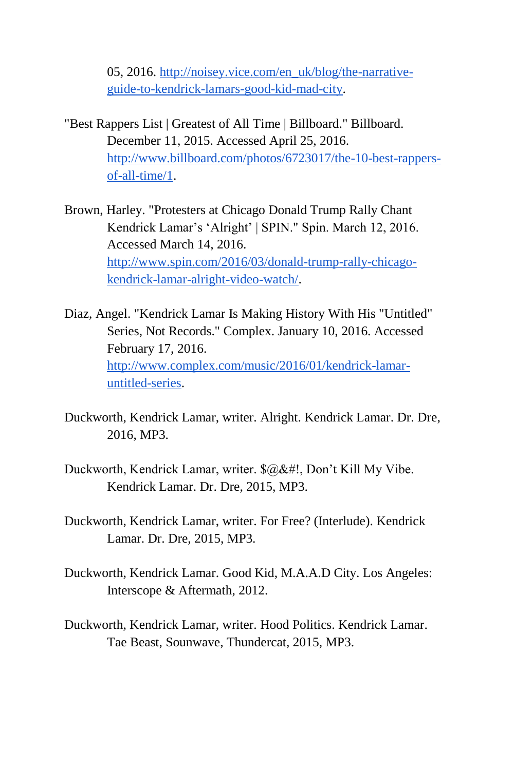05, 2016. [http://noisey.vice.com/en\\_uk/blog/the-narrative](http://noisey.vice.com/en_uk/blog/the-narrative-guide-to-kendrick-lamars-good-kid-mad-city)[guide-to-kendrick-lamars-good-kid-mad-city.](http://noisey.vice.com/en_uk/blog/the-narrative-guide-to-kendrick-lamars-good-kid-mad-city)

- "Best Rappers List | Greatest of All Time | Billboard." Billboard. December 11, 2015. Accessed April 25, 2016. [http://www.billboard.com/photos/6723017/the-10-best-rappers](http://www.billboard.com/photos/6723017/the-10-best-rappers-of-all-time/1)[of-all-time/1.](http://www.billboard.com/photos/6723017/the-10-best-rappers-of-all-time/1)
- Brown, Harley. "Protesters at Chicago Donald Trump Rally Chant Kendrick Lamar's 'Alright' | SPIN." Spin. March 12, 2016. Accessed March 14, 2016. [http://www.spin.com/2016/03/donald-trump-rally-chicago](http://www.spin.com/2016/03/donald-trump-rally-chicago-kendrick-lamar-alright-video-watch/)[kendrick-lamar-alright-video-watch/.](http://www.spin.com/2016/03/donald-trump-rally-chicago-kendrick-lamar-alright-video-watch/)
- Diaz, Angel. "Kendrick Lamar Is Making History With His "Untitled" Series, Not Records." Complex. January 10, 2016. Accessed February 17, 2016. [http://www.complex.com/music/2016/01/kendrick-lamar](http://www.complex.com/music/2016/01/kendrick-lamar-untitled-series)[untitled-series.](http://www.complex.com/music/2016/01/kendrick-lamar-untitled-series)
- Duckworth, Kendrick Lamar, writer. Alright. Kendrick Lamar. Dr. Dre, 2016, MP3.
- Duckworth, Kendrick Lamar, writer. \$@&#!, Don't Kill My Vibe. Kendrick Lamar. Dr. Dre, 2015, MP3.
- Duckworth, Kendrick Lamar, writer. For Free? (Interlude). Kendrick Lamar. Dr. Dre, 2015, MP3.
- Duckworth, Kendrick Lamar. Good Kid, M.A.A.D City. Los Angeles: Interscope & Aftermath, 2012.
- Duckworth, Kendrick Lamar, writer. Hood Politics. Kendrick Lamar. Tae Beast, Sounwave, Thundercat, 2015, MP3.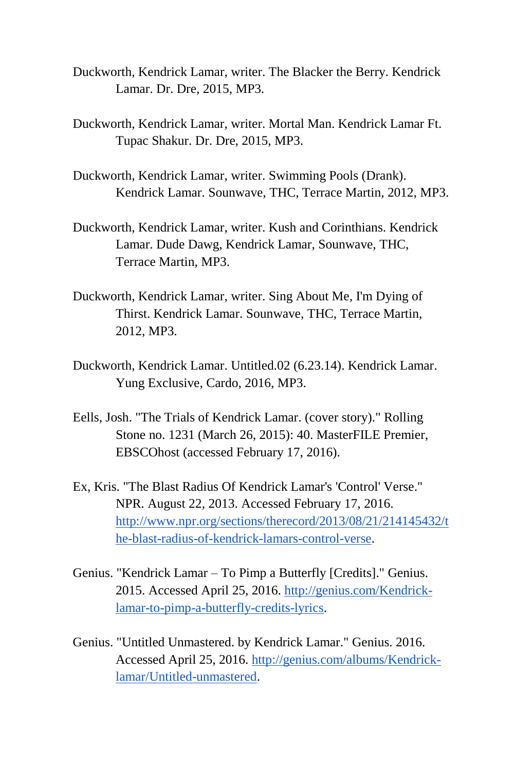- Duckworth, Kendrick Lamar, writer. The Blacker the Berry. Kendrick Lamar. Dr. Dre, 2015, MP3.
- Duckworth, Kendrick Lamar, writer. Mortal Man. Kendrick Lamar Ft. Tupac Shakur. Dr. Dre, 2015, MP3.
- Duckworth, Kendrick Lamar, writer. Swimming Pools (Drank). Kendrick Lamar. Sounwave, THC, Terrace Martin, 2012, MP3.
- Duckworth, Kendrick Lamar, writer. Kush and Corinthians. Kendrick Lamar. Dude Dawg, Kendrick Lamar, Sounwave, THC, Terrace Martin, MP3.
- Duckworth, Kendrick Lamar, writer. Sing About Me, I'm Dying of Thirst. Kendrick Lamar. Sounwave, THC, Terrace Martin, 2012, MP3.
- Duckworth, Kendrick Lamar. Untitled.02 (6.23.14). Kendrick Lamar. Yung Exclusive, Cardo, 2016, MP3.
- Eells, Josh. "The Trials of Kendrick Lamar. (cover story)." Rolling Stone no. 1231 (March 26, 2015): 40. MasterFILE Premier, EBSCOhost (accessed February 17, 2016).
- Ex, Kris. "The Blast Radius Of Kendrick Lamar's 'Control' Verse." NPR. August 22, 2013. Accessed February 17, 2016. [http://www.npr.org/sections/therecord/2013/08/21/214145432/t](http://www.npr.org/sections/therecord/2013/08/21/214145432/the-blast-radius-of-kendrick-lamars-control-verse) [he-blast-radius-of-kendrick-lamars-control-verse.](http://www.npr.org/sections/therecord/2013/08/21/214145432/the-blast-radius-of-kendrick-lamars-control-verse)
- Genius. "Kendrick Lamar To Pimp a Butterfly [Credits]." Genius. 2015. Accessed April 25, 2016. [http://genius.com/Kendrick](http://genius.com/Kendrick-lamar-to-pimp-a-butterfly-credits-lyrics)[lamar-to-pimp-a-butterfly-credits-lyrics.](http://genius.com/Kendrick-lamar-to-pimp-a-butterfly-credits-lyrics)
- Genius. "Untitled Unmastered. by Kendrick Lamar." Genius. 2016. Accessed April 25, 2016. [http://genius.com/albums/Kendrick](http://genius.com/albums/Kendrick-lamar/Untitled-unmastered)[lamar/Untitled-unmastered.](http://genius.com/albums/Kendrick-lamar/Untitled-unmastered)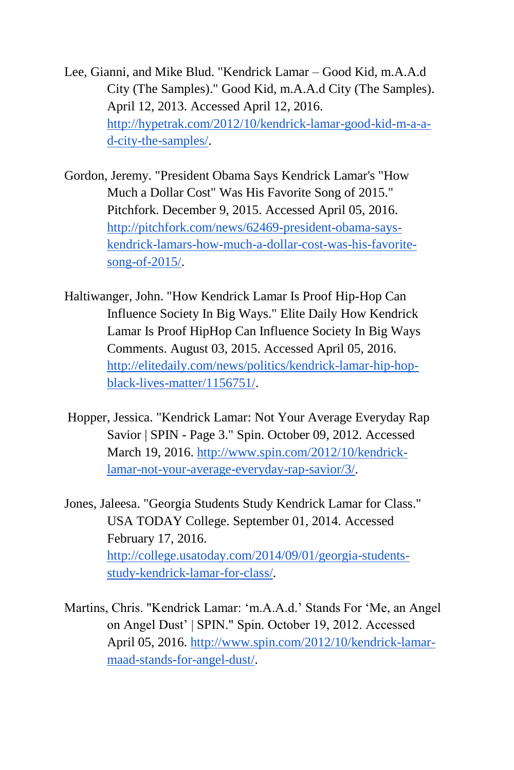- Lee, Gianni, and Mike Blud. "Kendrick Lamar Good Kid, m.A.A.d City (The Samples)." Good Kid, m.A.A.d City (The Samples). April 12, 2013. Accessed April 12, 2016. [http://hypetrak.com/2012/10/kendrick-lamar-good-kid-m-a-a](http://hypetrak.com/2012/10/kendrick-lamar-good-kid-m-a-a-d-city-the-samples/)[d-city-the-samples/.](http://hypetrak.com/2012/10/kendrick-lamar-good-kid-m-a-a-d-city-the-samples/)
- Gordon, Jeremy. "President Obama Says Kendrick Lamar's "How Much a Dollar Cost" Was His Favorite Song of 2015." Pitchfork. December 9, 2015. Accessed April 05, 2016. [http://pitchfork.com/news/62469-president-obama-says](http://pitchfork.com/news/62469-president-obama-says-kendrick-lamars-how-much-a-dollar-cost-was-his-favorite-song-of-2015/)[kendrick-lamars-how-much-a-dollar-cost-was-his-favorite](http://pitchfork.com/news/62469-president-obama-says-kendrick-lamars-how-much-a-dollar-cost-was-his-favorite-song-of-2015/)[song-of-2015/.](http://pitchfork.com/news/62469-president-obama-says-kendrick-lamars-how-much-a-dollar-cost-was-his-favorite-song-of-2015/)
- Haltiwanger, John. "How Kendrick Lamar Is Proof Hip-Hop Can Influence Society In Big Ways." Elite Daily How Kendrick Lamar Is Proof HipHop Can Influence Society In Big Ways Comments. August 03, 2015. Accessed April 05, 2016. [http://elitedaily.com/news/politics/kendrick-lamar-hip-hop](http://elitedaily.com/news/politics/kendrick-lamar-hip-hop-black-lives-matter/1156751/)[black-lives-matter/1156751/.](http://elitedaily.com/news/politics/kendrick-lamar-hip-hop-black-lives-matter/1156751/)
- Hopper, Jessica. "Kendrick Lamar: Not Your Average Everyday Rap Savior | SPIN - Page 3." Spin. October 09, 2012. Accessed March 19, 2016. [http://www.spin.com/2012/10/kendrick](http://www.spin.com/2012/10/kendrick-lamar-not-your-average-everyday-rap-savior/3/)[lamar-not-your-average-everyday-rap-savior/3/.](http://www.spin.com/2012/10/kendrick-lamar-not-your-average-everyday-rap-savior/3/)
- Jones, Jaleesa. "Georgia Students Study Kendrick Lamar for Class." USA TODAY College. September 01, 2014. Accessed February 17, 2016. [http://college.usatoday.com/2014/09/01/georgia-students](http://college.usatoday.com/2014/09/01/georgia-students-study-kendrick-lamar-for-class/)[study-kendrick-lamar-for-class/.](http://college.usatoday.com/2014/09/01/georgia-students-study-kendrick-lamar-for-class/)
- Martins, Chris. "Kendrick Lamar: 'm.A.A.d.' Stands For 'Me, an Angel on Angel Dust' | SPIN." Spin. October 19, 2012. Accessed April 05, 2016. [http://www.spin.com/2012/10/kendrick-lamar](http://www.spin.com/2012/10/kendrick-lamar-maad-stands-for-angel-dust/)[maad-stands-for-angel-dust/.](http://www.spin.com/2012/10/kendrick-lamar-maad-stands-for-angel-dust/)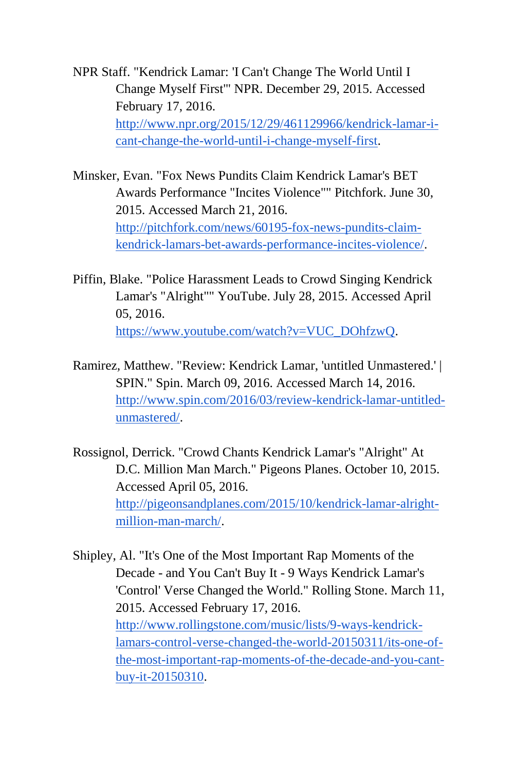NPR Staff. "Kendrick Lamar: 'I Can't Change The World Until I Change Myself First'" NPR. December 29, 2015. Accessed February 17, 2016. [http://www.npr.org/2015/12/29/461129966/kendrick-lamar-i](http://www.npr.org/2015/12/29/461129966/kendrick-lamar-i-cant-change-the-world-until-i-change-myself-first)[cant-change-the-world-until-i-change-myself-first.](http://www.npr.org/2015/12/29/461129966/kendrick-lamar-i-cant-change-the-world-until-i-change-myself-first)

- Minsker, Evan. "Fox News Pundits Claim Kendrick Lamar's BET Awards Performance "Incites Violence"" Pitchfork. June 30, 2015. Accessed March 21, 2016. [http://pitchfork.com/news/60195-fox-news-pundits-claim](http://pitchfork.com/news/60195-fox-news-pundits-claim-kendrick-lamars-bet-awards-performance-incites-violence/)[kendrick-lamars-bet-awards-performance-incites-violence/.](http://pitchfork.com/news/60195-fox-news-pundits-claim-kendrick-lamars-bet-awards-performance-incites-violence/)
- Piffin, Blake. "Police Harassment Leads to Crowd Singing Kendrick Lamar's "Alright"" YouTube. July 28, 2015. Accessed April 05, 2016[.](https://www.youtube.com/watch?v=VUC_DOhfzwQ) [https://www.youtube.com/watch?v=VUC\\_DOhfzwQ.](https://www.youtube.com/watch?v=VUC_DOhfzwQ)
- Ramirez, Matthew. "Review: Kendrick Lamar, 'untitled Unmastered.' | SPIN." Spin. March 09, 2016. Accessed March 14, 2016. [http://www.spin.com/2016/03/review-kendrick-lamar-untitled](http://www.spin.com/2016/03/review-kendrick-lamar-untitled-unmastered/)[unmastered/.](http://www.spin.com/2016/03/review-kendrick-lamar-untitled-unmastered/)

Rossignol, Derrick. "Crowd Chants Kendrick Lamar's "Alright" At D.C. Million Man March." Pigeons Planes. October 10, 2015. Accessed April 05, 2016. [http://pigeonsandplanes.com/2015/10/kendrick-lamar-alright](http://pigeonsandplanes.com/2015/10/kendrick-lamar-alright-million-man-march/)[million-man-march/.](http://pigeonsandplanes.com/2015/10/kendrick-lamar-alright-million-man-march/)

Shipley, Al. "It's One of the Most Important Rap Moments of the Decade - and You Can't Buy It - 9 Ways Kendrick Lamar's 'Control' Verse Changed the World." Rolling Stone. March 11, 2015. Accessed February 17, 2016. [http://www.rollingstone.com/music/lists/9-ways-kendrick](http://www.rollingstone.com/music/lists/9-ways-kendrick-lamars-control-verse-changed-the-world-20150311/its-one-of-the-most-important-rap-moments-of-the-decade-and-you-cant-buy-it-20150310)[lamars-control-verse-changed-the-world-20150311/its-one-of](http://www.rollingstone.com/music/lists/9-ways-kendrick-lamars-control-verse-changed-the-world-20150311/its-one-of-the-most-important-rap-moments-of-the-decade-and-you-cant-buy-it-20150310)[the-most-important-rap-moments-of-the-decade-and-you-cant](http://www.rollingstone.com/music/lists/9-ways-kendrick-lamars-control-verse-changed-the-world-20150311/its-one-of-the-most-important-rap-moments-of-the-decade-and-you-cant-buy-it-20150310)[buy-it-20150310.](http://www.rollingstone.com/music/lists/9-ways-kendrick-lamars-control-verse-changed-the-world-20150311/its-one-of-the-most-important-rap-moments-of-the-decade-and-you-cant-buy-it-20150310)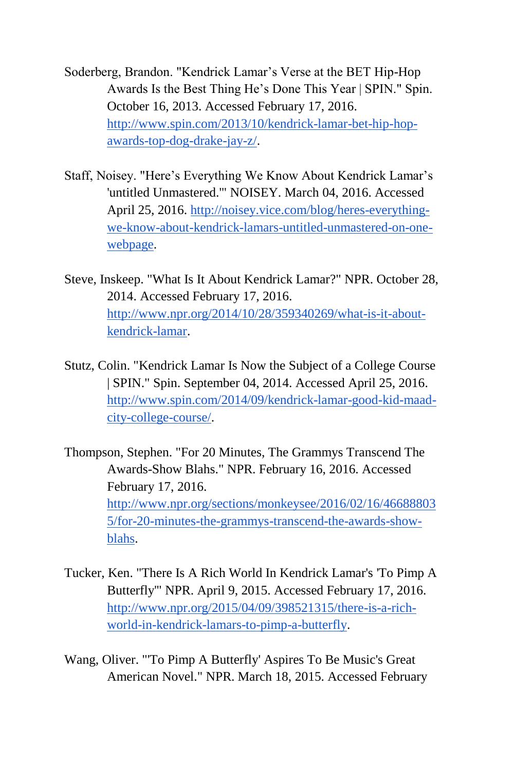Soderberg, Brandon. "Kendrick Lamar's Verse at the BET Hip-Hop Awards Is the Best Thing He's Done This Year | SPIN." Spin. October 16, 2013. Accessed February 17, 2016. [http://www.spin.com/2013/10/kendrick-lamar-bet-hip-hop](http://www.spin.com/2013/10/kendrick-lamar-bet-hip-hop-awards-top-dog-drake-jay-z/)[awards-top-dog-drake-jay-z/.](http://www.spin.com/2013/10/kendrick-lamar-bet-hip-hop-awards-top-dog-drake-jay-z/)

- Staff, Noisey. "Here's Everything We Know About Kendrick Lamar's 'untitled Unmastered.'" NOISEY. March 04, 2016. Accessed April 25, 2016. [http://noisey.vice.com/blog/heres-everything](http://noisey.vice.com/blog/heres-everything-we-know-about-kendrick-lamars-untitled-unmastered-on-one-webpage)[we-know-about-kendrick-lamars-untitled-unmastered-on-one](http://noisey.vice.com/blog/heres-everything-we-know-about-kendrick-lamars-untitled-unmastered-on-one-webpage)[webpage.](http://noisey.vice.com/blog/heres-everything-we-know-about-kendrick-lamars-untitled-unmastered-on-one-webpage)
- Steve, Inskeep. "What Is It About Kendrick Lamar?" NPR. October 28, 2014. Accessed February 17, 2016. [http://www.npr.org/2014/10/28/359340269/what-is-it-about](http://www.npr.org/2014/10/28/359340269/what-is-it-about-kendrick-lamar)[kendrick-lamar.](http://www.npr.org/2014/10/28/359340269/what-is-it-about-kendrick-lamar)
- Stutz, Colin. "Kendrick Lamar Is Now the Subject of a College Course | SPIN." Spin. September 04, 2014. Accessed April 25, 2016. [http://www.spin.com/2014/09/kendrick-lamar-good-kid-maad](http://www.spin.com/2014/09/kendrick-lamar-good-kid-maad-city-college-course/)[city-college-course/.](http://www.spin.com/2014/09/kendrick-lamar-good-kid-maad-city-college-course/)

Thompson, Stephen. "For 20 Minutes, The Grammys Transcend The Awards-Show Blahs." NPR. February 16, 2016. Accessed February 17, 2016. [http://www.npr.org/sections/monkeysee/2016/02/16/46688803](http://www.npr.org/sections/monkeysee/2016/02/16/466888035/for-20-minutes-the-grammys-transcend-the-awards-show-blahs) [5/for-20-minutes-the-grammys-transcend-the-awards-show](http://www.npr.org/sections/monkeysee/2016/02/16/466888035/for-20-minutes-the-grammys-transcend-the-awards-show-blahs)[blahs.](http://www.npr.org/sections/monkeysee/2016/02/16/466888035/for-20-minutes-the-grammys-transcend-the-awards-show-blahs)

- Tucker, Ken. "There Is A Rich World In Kendrick Lamar's 'To Pimp A Butterfly'" NPR. April 9, 2015. Accessed February 17, 2016. [http://www.npr.org/2015/04/09/398521315/there-is-a-rich](http://www.npr.org/2015/04/09/398521315/there-is-a-rich-world-in-kendrick-lamars-to-pimp-a-butterfly)[world-in-kendrick-lamars-to-pimp-a-butterfly.](http://www.npr.org/2015/04/09/398521315/there-is-a-rich-world-in-kendrick-lamars-to-pimp-a-butterfly)
- Wang, Oliver. "'To Pimp A Butterfly' Aspires To Be Music's Great American Novel." NPR. March 18, 2015. Accessed February